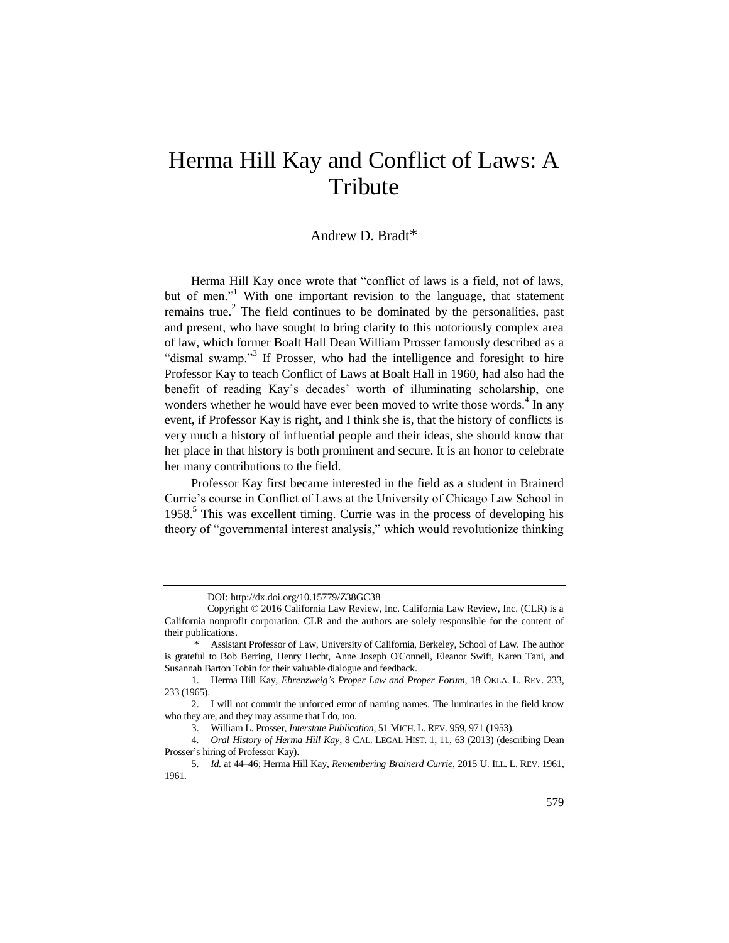## Herma Hill Kay and Conflict of Laws: A Tribute

## <span id="page-0-0"></span>Andrew D. Bradt\*

Herma Hill Kay once wrote that "conflict of laws is a field, not of laws, but of men."<sup>1</sup> With one important revision to the language, that statement remains true.<sup>2</sup> The field continues to be dominated by the personalities, past and present, who have sought to bring clarity to this notoriously complex area of law, which former Boalt Hall Dean William Prosser famously described as a "dismal swamp."<sup>3</sup> If Prosser, who had the intelligence and foresight to hire Professor Kay to teach Conflict of Laws at Boalt Hall in 1960, had also had the benefit of reading Kay's decades' worth of illuminating scholarship, one wonders whether he would have ever been moved to write those words.<sup>4</sup> In any event, if Professor Kay is right, and I think she is, that the history of conflicts is very much a history of influential people and their ideas, she should know that her place in that history is both prominent and secure. It is an honor to celebrate her many contributions to the field.

<span id="page-0-1"></span>Professor Kay first became interested in the field as a student in Brainerd Currie's course in Conflict of Laws at the University of Chicago Law School in 1958.<sup>5</sup> This was excellent timing. Currie was in the process of developing his theory of "governmental interest analysis," which would revolutionize thinking

DOI: http://dx.doi.org/10.15779/Z38GC38

Copyright © 2016 California Law Review, Inc. California Law Review, Inc. (CLR) is a California nonprofit corporation. CLR and the authors are solely responsible for the content of their publications.

<sup>\*</sup> Assistant Professor of Law, University of California, Berkeley, School of Law. The author is grateful to Bob Berring, Henry Hecht, Anne Joseph O'Connell, Eleanor Swift, Karen Tani, and Susannah Barton Tobin for their valuable dialogue and feedback.

<sup>1.</sup> Herma Hill Kay, *Ehrenzweig's Proper Law and Proper Forum*, 18 OKLA. L. REV. 233, 233 (1965).

<sup>2.</sup> I will not commit the unforced error of naming names. The luminaries in the field know who they are, and they may assume that I do, too.

<sup>3.</sup> William L. Prosser, *Interstate Publication*, 51 MICH. L. REV. 959, 971 (1953).

<sup>4</sup>*. Oral History of Herma Hill Kay*, 8 CAL. LEGAL HIST. 1, 11, 63 (2013) (describing Dean Prosser's hiring of Professor Kay).

<sup>5</sup>*. Id.* at 44–46; Herma Hill Kay, *Remembering Brainerd Currie*, 2015 U. ILL. L. REV. 1961, 1961.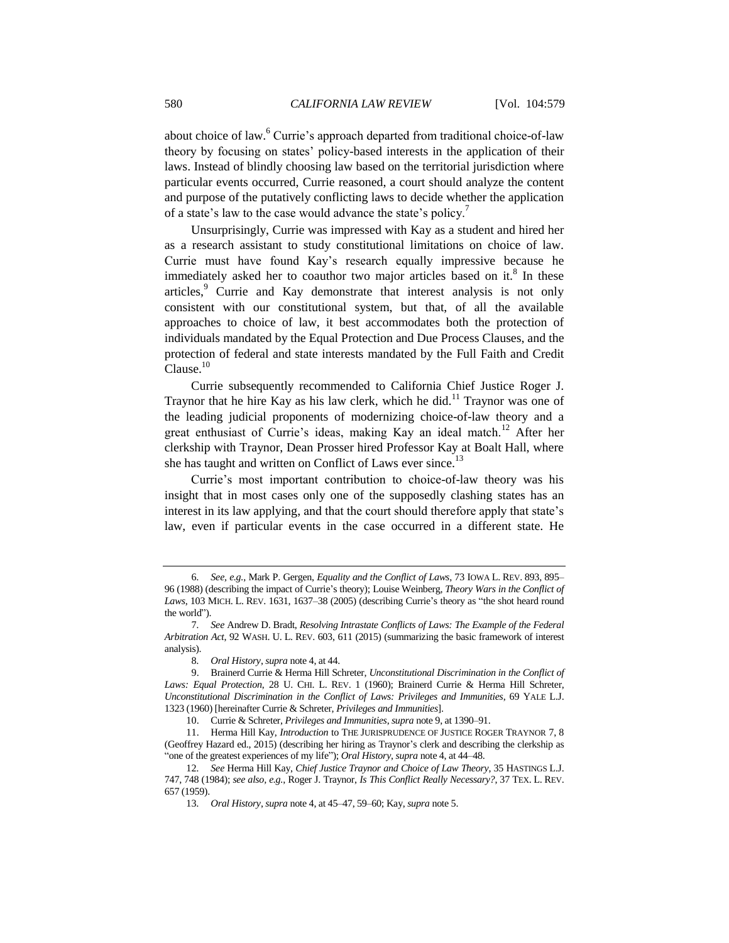about choice of law.<sup>6</sup> Currie's approach departed from traditional choice-of-law theory by focusing on states' policy-based interests in the application of their laws. Instead of blindly choosing law based on the territorial jurisdiction where particular events occurred, Currie reasoned, a court should analyze the content and purpose of the putatively conflicting laws to decide whether the application of a state's law to the case would advance the state's policy.<sup>7</sup>

<span id="page-1-1"></span><span id="page-1-0"></span>Unsurprisingly, Currie was impressed with Kay as a student and hired her as a research assistant to study constitutional limitations on choice of law. Currie must have found Kay's research equally impressive because he immediately asked her to coauthor two major articles based on it. $8$  In these articles,<sup>9</sup> Currie and Kay demonstrate that interest analysis is not only consistent with our constitutional system, but that, of all the available approaches to choice of law, it best accommodates both the protection of individuals mandated by the Equal Protection and Due Process Clauses, and the protection of federal and state interests mandated by the Full Faith and Credit Clause.<sup>10</sup>

<span id="page-1-2"></span>Currie subsequently recommended to California Chief Justice Roger J. Traynor that he hire Kay as his law clerk, which he did.<sup>11</sup> Traynor was one of the leading judicial proponents of modernizing choice-of-law theory and a great enthusiast of Currie's ideas, making Kay an ideal match.<sup>12</sup> After her clerkship with Traynor, Dean Prosser hired Professor Kay at Boalt Hall, where she has taught and written on Conflict of Laws ever since.<sup>13</sup>

Currie's most important contribution to choice-of-law theory was his insight that in most cases only one of the supposedly clashing states has an interest in its law applying, and that the court should therefore apply that state's law, even if particular events in the case occurred in a different state. He

<sup>6</sup>*. See, e.g.*, Mark P. Gergen, *Equality and the Conflict of Laws*, 73 IOWA L. REV. 893, 895– 96 (1988) (describing the impact of Currie's theory); Louise Weinberg, *Theory Wars in the Conflict of Laws*, 103 MICH. L. REV. 1631, 1637–38 (2005) (describing Currie's theory as "the shot heard round the world").

<sup>7</sup>*. See* Andrew D. Bradt, *Resolving Intrastate Conflicts of Laws: The Example of the Federal Arbitration Act*, 92 WASH. U. L. REV. 603, 611 (2015) (summarizing the basic framework of interest analysis).

<sup>8</sup>*. Oral History*, *supra* not[e 4,](#page-0-0) at 44.

<sup>9.</sup> Brainerd Currie & Herma Hill Schreter, *Unconstitutional Discrimination in the Conflict of Laws: Equal Protection*, 28 U. CHI. L. REV. 1 (1960); Brainerd Currie & Herma Hill Schreter, *Unconstitutional Discrimination in the Conflict of Laws: Privileges and Immunities*, 69 YALE L.J. 1323 (1960) [hereinafter Currie & Schreter, *Privileges and Immunities*].

<sup>10.</sup> Currie & Schreter, *Privileges and Immunities*, *supra* not[e 9,](#page-1-0) at 1390–91.

<sup>11.</sup> Herma Hill Kay, *Introduction* to THE JURISPRUDENCE OF JUSTICE ROGER TRAYNOR 7, 8 (Geoffrey Hazard ed., 2015) (describing her hiring as Traynor's clerk and describing the clerkship as "one of the greatest experiences of my life"); *Oral History*, *supra* not[e 4,](#page-0-0) at 44–48.

<sup>12</sup>*. See* Herma Hill Kay, *Chief Justice Traynor and Choice of Law Theory*, 35 HASTINGS L.J. 747, 748 (1984); *see also, e.g.*, Roger J. Traynor, *Is This Conflict Really Necessary?*, 37 TEX. L. REV. 657 (1959).

<sup>13</sup>*. Oral History*, *supra* not[e 4,](#page-0-0) at 45–47, 59–60; Kay, *supra* not[e 5.](#page-0-1)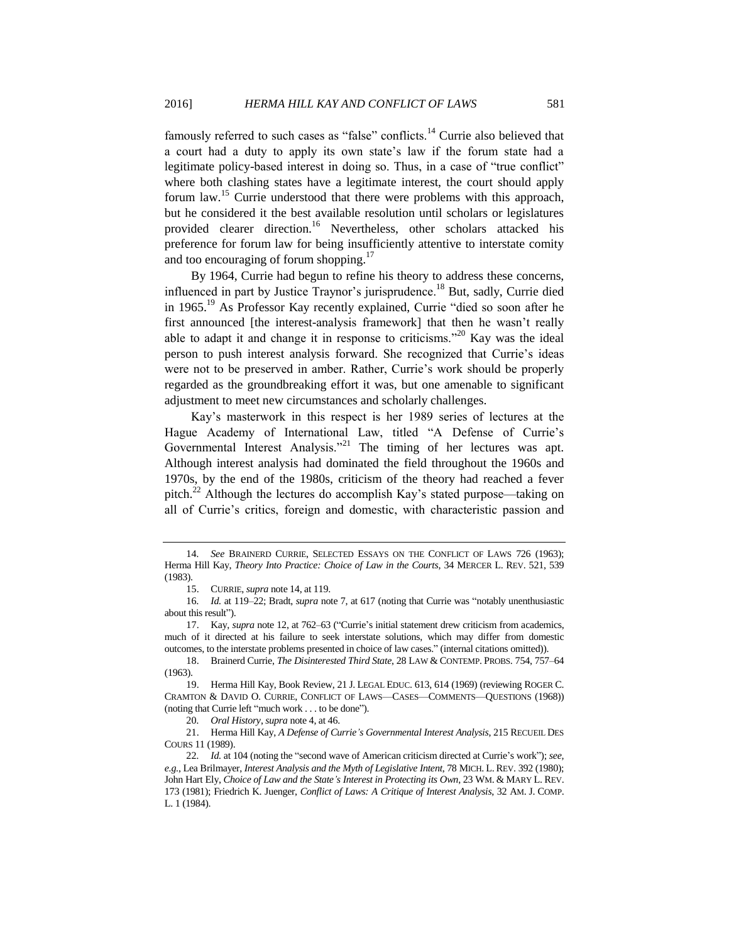famously referred to such cases as "false" conflicts.<sup>14</sup> Currie also believed that a court had a duty to apply its own state's law if the forum state had a legitimate policy-based interest in doing so. Thus, in a case of "true conflict" where both clashing states have a legitimate interest, the court should apply forum law.<sup>15</sup> Currie understood that there were problems with this approach, but he considered it the best available resolution until scholars or legislatures provided clearer direction.<sup>16</sup> Nevertheless, other scholars attacked his preference for forum law for being insufficiently attentive to interstate comity and too encouraging of forum shopping.<sup>17</sup>

<span id="page-2-3"></span>By 1964, Currie had begun to refine his theory to address these concerns, influenced in part by Justice Traynor's jurisprudence.<sup>18</sup> But, sadly, Currie died in 1965. <sup>19</sup> As Professor Kay recently explained, Currie "died so soon after he first announced [the interest-analysis framework] that then he wasn't really able to adapt it and change it in response to criticisms."<sup>20</sup> Kay was the ideal person to push interest analysis forward. She recognized that Currie's ideas were not to be preserved in amber. Rather, Currie's work should be properly regarded as the groundbreaking effort it was, but one amenable to significant adjustment to meet new circumstances and scholarly challenges.

<span id="page-2-1"></span>Kay's masterwork in this respect is her 1989 series of lectures at the Hague Academy of International Law, titled "A Defense of Currie's Governmental Interest Analysis."<sup>21</sup> The timing of her lectures was apt. Although interest analysis had dominated the field throughout the 1960s and 1970s, by the end of the 1980s, criticism of the theory had reached a fever pitch.<sup>22</sup> Although the lectures do accomplish Kay's stated purpose—taking on all of Currie's critics, foreign and domestic, with characteristic passion and

<span id="page-2-2"></span><span id="page-2-0"></span>

<sup>14</sup>*. See* BRAINERD CURRIE, SELECTED ESSAYS ON THE CONFLICT OF LAWS 726 (1963); Herma Hill Kay, *Theory Into Practice: Choice of Law in the Courts*, 34 MERCER L. REV. 521, 539 (1983).

<sup>15.</sup> CURRIE, *supra* not[e 14,](#page-2-0) at 119.

<sup>16</sup>*. Id.* at 119–22; Bradt, *supra* note [7,](#page-1-1) at 617 (noting that Currie was "notably unenthusiastic about this result").

<sup>17.</sup> Kay, *supra* not[e 12,](#page-1-2) at 762–63 ("Currie's initial statement drew criticism from academics, much of it directed at his failure to seek interstate solutions, which may differ from domestic outcomes, to the interstate problems presented in choice of law cases." (internal citations omitted)).

<sup>18.</sup> Brainerd Currie, *The Disinterested Third State*, 28 LAW & CONTEMP. PROBS. 754, 757–64 (1963).

<sup>19.</sup> Herma Hill Kay, Book Review, 21 J. LEGAL EDUC. 613, 614 (1969) (reviewing ROGER C. CRAMTON & DAVID O. CURRIE, CONFLICT OF LAWS—CASES—COMMENTS—QUESTIONS (1968)) (noting that Currie left "much work . . . to be done").

<sup>20</sup>*. Oral History*, *supra* not[e 4,](#page-0-0) at 46.

<sup>21.</sup> Herma Hill Kay, *A Defense of Currie's Governmental Interest Analysis*, 215 RECUEIL DES COURS 11 (1989).

<sup>22</sup>*. Id.* at 104 (noting the "second wave of American criticism directed at Currie's work"); *see, e.g.*, Lea Brilmayer, *Interest Analysis and the Myth of Legislative Intent*, 78 MICH. L. REV. 392 (1980); John Hart Ely, *Choice of Law and the State's Interest in Protecting its Own*, 23 WM. & MARY L. REV. 173 (1981); Friedrich K. Juenger, *Conflict of Laws: A Critique of Interest Analysis*, 32 AM. J. COMP. L. 1 (1984).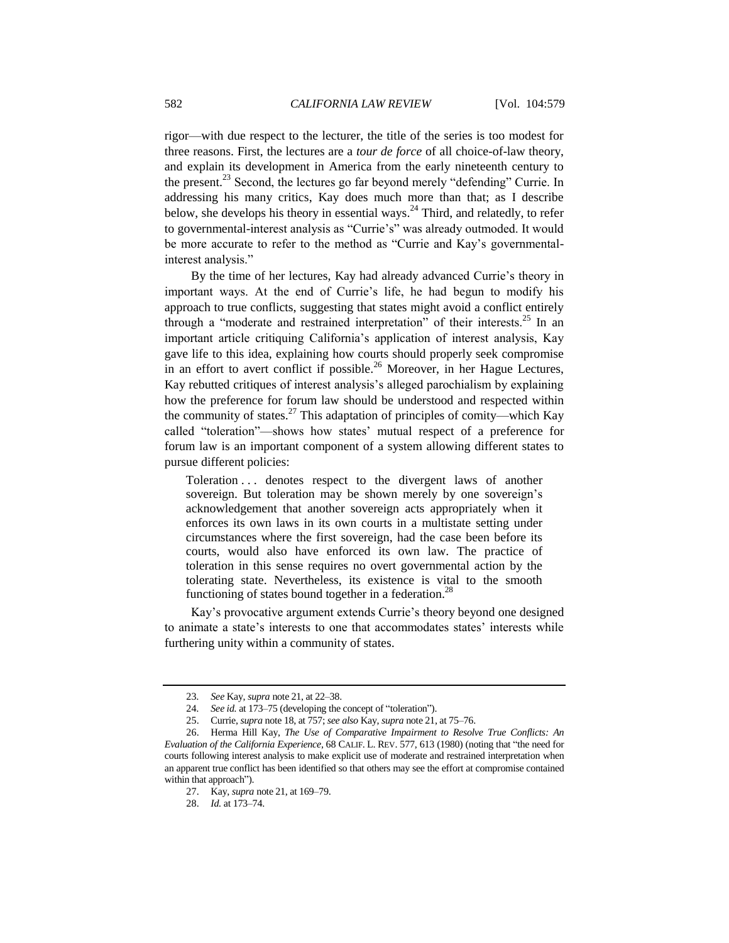rigor—with due respect to the lecturer, the title of the series is too modest for three reasons. First, the lectures are a *tour de force* of all choice-of-law theory, and explain its development in America from the early nineteenth century to the present.<sup>23</sup> Second, the lectures go far beyond merely "defending" Currie. In addressing his many critics, Kay does much more than that; as I describe below, she develops his theory in essential ways.<sup>24</sup> Third, and relatedly, to refer to governmental-interest analysis as "Currie's" was already outmoded. It would be more accurate to refer to the method as "Currie and Kay's governmentalinterest analysis."

By the time of her lectures, Kay had already advanced Currie's theory in important ways. At the end of Currie's life, he had begun to modify his approach to true conflicts, suggesting that states might avoid a conflict entirely through a "moderate and restrained interpretation" of their interests.<sup>25</sup> In an important article critiquing California's application of interest analysis, Kay gave life to this idea, explaining how courts should properly seek compromise in an effort to avert conflict if possible.<sup>26</sup> Moreover, in her Hague Lectures, Kay rebutted critiques of interest analysis's alleged parochialism by explaining how the preference for forum law should be understood and respected within the community of states.<sup>27</sup> This adaptation of principles of comity—which Kay called "toleration"—shows how states' mutual respect of a preference for forum law is an important component of a system allowing different states to pursue different policies:

Toleration . . . denotes respect to the divergent laws of another sovereign. But toleration may be shown merely by one sovereign's acknowledgement that another sovereign acts appropriately when it enforces its own laws in its own courts in a multistate setting under circumstances where the first sovereign, had the case been before its courts, would also have enforced its own law. The practice of toleration in this sense requires no overt governmental action by the tolerating state. Nevertheless, its existence is vital to the smooth functioning of states bound together in a federation.<sup>28</sup>

Kay's provocative argument extends Currie's theory beyond one designed to animate a state's interests to one that accommodates states' interests while furthering unity within a community of states.

<sup>23</sup>*. See* Kay, *supra* not[e 21,](#page-2-1) at 22–38.

<sup>24</sup>*. See id.* at 173–75 (developing the concept of "toleration").

<sup>25.</sup> Currie, *supra* not[e 18,](#page-2-2) at 757; *see also* Kay, *supra* not[e 21,](#page-2-1) at 75–76.

<sup>26.</sup> Herma Hill Kay, *The Use of Comparative Impairment to Resolve True Conflicts: An Evaluation of the California Experience*, 68 CALIF. L. REV. 577, 613 (1980) (noting that "the need for courts following interest analysis to make explicit use of moderate and restrained interpretation when an apparent true conflict has been identified so that others may see the effort at compromise contained within that approach").

<sup>27.</sup> Kay, *supra* not[e 21,](#page-2-1) at 169–79.

<sup>28.</sup> *Id.* at 173–74.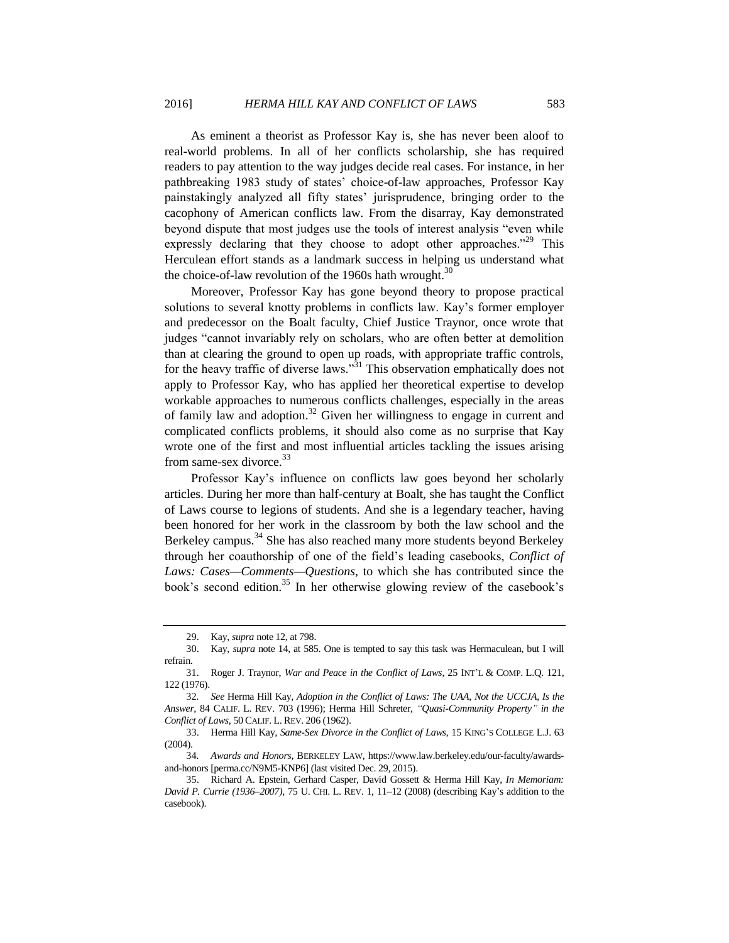As eminent a theorist as Professor Kay is, she has never been aloof to real-world problems. In all of her conflicts scholarship, she has required readers to pay attention to the way judges decide real cases. For instance, in her pathbreaking 1983 study of states' choice-of-law approaches, Professor Kay painstakingly analyzed all fifty states' jurisprudence, bringing order to the cacophony of American conflicts law. From the disarray, Kay demonstrated beyond dispute that most judges use the tools of interest analysis "even while expressly declaring that they choose to adopt other approaches.<sup> $29$ </sup> This Herculean effort stands as a landmark success in helping us understand what the choice-of-law revolution of the 1960s hath wrought.<sup>30</sup>

Moreover, Professor Kay has gone beyond theory to propose practical solutions to several knotty problems in conflicts law. Kay's former employer and predecessor on the Boalt faculty, Chief Justice Traynor, once wrote that judges "cannot invariably rely on scholars, who are often better at demolition than at clearing the ground to open up roads, with appropriate traffic controls, for the heavy traffic of diverse laws."<sup>31</sup> This observation emphatically does not apply to Professor Kay, who has applied her theoretical expertise to develop workable approaches to numerous conflicts challenges, especially in the areas of family law and adoption.<sup>32</sup> Given her willingness to engage in current and complicated conflicts problems, it should also come as no surprise that Kay wrote one of the first and most influential articles tackling the issues arising from same-sex divorce.<sup>33</sup>

Professor Kay's influence on conflicts law goes beyond her scholarly articles. During her more than half-century at Boalt, she has taught the Conflict of Laws course to legions of students. And she is a legendary teacher, having been honored for her work in the classroom by both the law school and the Berkeley campus.<sup>34</sup> She has also reached many more students beyond Berkeley through her coauthorship of one of the field's leading casebooks, *Conflict of Laws: Cases—Comments—Questions*, to which she has contributed since the book's second edition.<sup>35</sup> In her otherwise glowing review of the casebook's

<span id="page-4-0"></span><sup>29.</sup> Kay, *supra* not[e 12,](#page-1-2) at 798.

<sup>30.</sup> Kay, *supra* not[e 14,](#page-2-0) at 585. One is tempted to say this task was Hermaculean, but I will refrain.

<sup>31.</sup> Roger J. Traynor, *War and Peace in the Conflict of Laws*, 25 INT'L & COMP. L.Q. 121, 122 (1976).

<sup>32</sup>*. See* Herma Hill Kay, *Adoption in the Conflict of Laws: The UAA, Not the UCCJA, Is the Answer*, 84 CALIF. L. REV. 703 (1996); Herma Hill Schreter, *"Quasi-Community Property" in the Conflict of Laws*, 50 CALIF. L. REV. 206 (1962).

<sup>33.</sup> Herma Hill Kay, *Same-Sex Divorce in the Conflict of Laws*, 15 KING'S COLLEGE L.J. 63 (2004).

<sup>34</sup>*. Awards and Honors*, BERKELEY LAW, https://www.law.berkeley.edu/our-faculty/awardsand-honors [perma.cc/N9M5-KNP6] (last visited Dec. 29, 2015).

<sup>35.</sup> Richard A. Epstein, Gerhard Casper, David Gossett & Herma Hill Kay, *In Memoriam: David P. Currie (1936–2007)*, 75 U. CHI. L. REV. 1, 11–12 (2008) (describing Kay's addition to the casebook).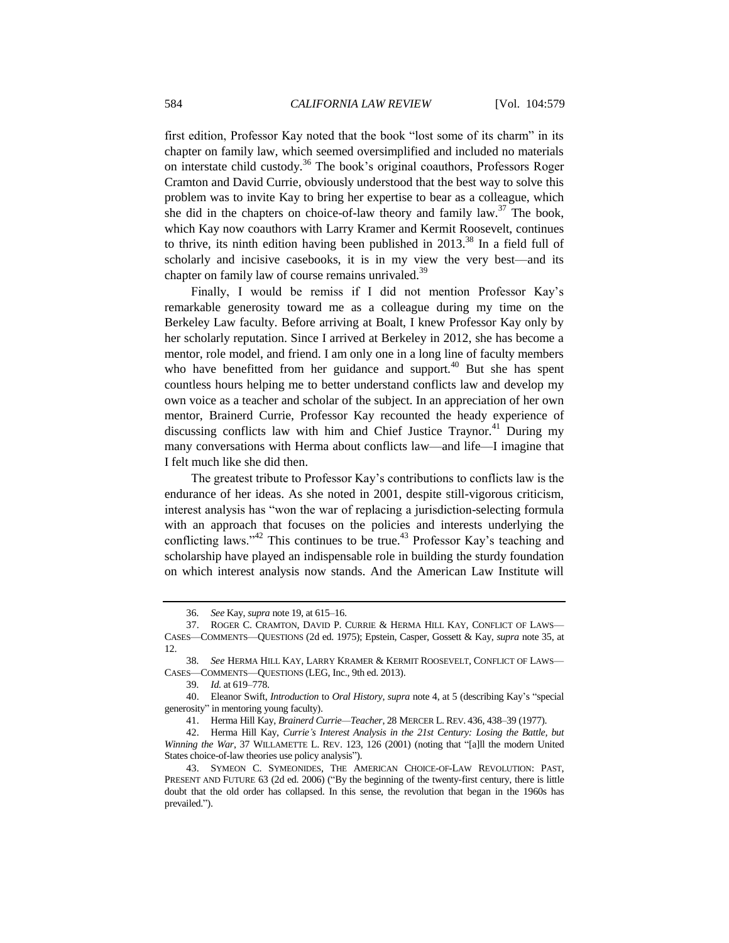first edition, Professor Kay noted that the book "lost some of its charm" in its chapter on family law, which seemed oversimplified and included no materials on interstate child custody.<sup>36</sup> The book's original coauthors, Professors Roger Cramton and David Currie, obviously understood that the best way to solve this problem was to invite Kay to bring her expertise to bear as a colleague, which she did in the chapters on choice-of-law theory and family law.<sup>37</sup> The book, which Kay now coauthors with Larry Kramer and Kermit Roosevelt, continues to thrive, its ninth edition having been published in  $2013^{38}$  In a field full of scholarly and incisive casebooks, it is in my view the very best—and its chapter on family law of course remains unrivaled.<sup>39</sup>

Finally, I would be remiss if I did not mention Professor Kay's remarkable generosity toward me as a colleague during my time on the Berkeley Law faculty. Before arriving at Boalt, I knew Professor Kay only by her scholarly reputation. Since I arrived at Berkeley in 2012, she has become a mentor, role model, and friend. I am only one in a long line of faculty members who have benefitted from her guidance and support.<sup>40</sup> But she has spent countless hours helping me to better understand conflicts law and develop my own voice as a teacher and scholar of the subject. In an appreciation of her own mentor, Brainerd Currie, Professor Kay recounted the heady experience of discussing conflicts law with him and Chief Justice Traynor.<sup>41</sup> During my many conversations with Herma about conflicts law—and life—I imagine that I felt much like she did then.

The greatest tribute to Professor Kay's contributions to conflicts law is the endurance of her ideas. As she noted in 2001, despite still-vigorous criticism, interest analysis has "won the war of replacing a jurisdiction-selecting formula with an approach that focuses on the policies and interests underlying the conflicting laws." $42$  This continues to be true. $43$  Professor Kay's teaching and scholarship have played an indispensable role in building the sturdy foundation on which interest analysis now stands. And the American Law Institute will

<sup>36</sup>*. See* Kay, *supra* not[e 19,](#page-2-3) at 615–16.

<sup>37.</sup> ROGER C. CRAMTON, DAVID P. CURRIE & HERMA HILL KAY, CONFLICT OF LAWS— CASES—COMMENTS—QUESTIONS (2d ed. 1975); Epstein, Casper, Gossett & Kay, *supra* note [35,](#page-4-0) at 12.

<sup>38</sup>*. See* HERMA HILL KAY, LARRY KRAMER & KERMIT ROOSEVELT, CONFLICT OF LAWS— CASES—COMMENTS—QUESTIONS (LEG, Inc., 9th ed. 2013).

<sup>39</sup>*. Id.* at 619–778.

<sup>40.</sup> Eleanor Swift, *Introduction* to *Oral History*, *supra* not[e 4,](#page-0-0) at 5 (describing Kay's "special generosity" in mentoring young faculty).

<sup>41.</sup> Herma Hill Kay, *Brainerd Currie—Teacher*, 28 MERCER L. REV. 436, 438–39 (1977).

<sup>42.</sup> Herma Hill Kay, *Currie's Interest Analysis in the 21st Century: Losing the Battle, but Winning the War*, 37 WILLAMETTE L. REV. 123, 126 (2001) (noting that "[a]ll the modern United States choice-of-law theories use policy analysis").

<sup>43.</sup> SYMEON C. SYMEONIDES, THE AMERICAN CHOICE-OF-LAW REVOLUTION: PAST, PRESENT AND FUTURE 63 (2d ed. 2006) ("By the beginning of the twenty-first century, there is little doubt that the old order has collapsed. In this sense, the revolution that began in the 1960s has prevailed.").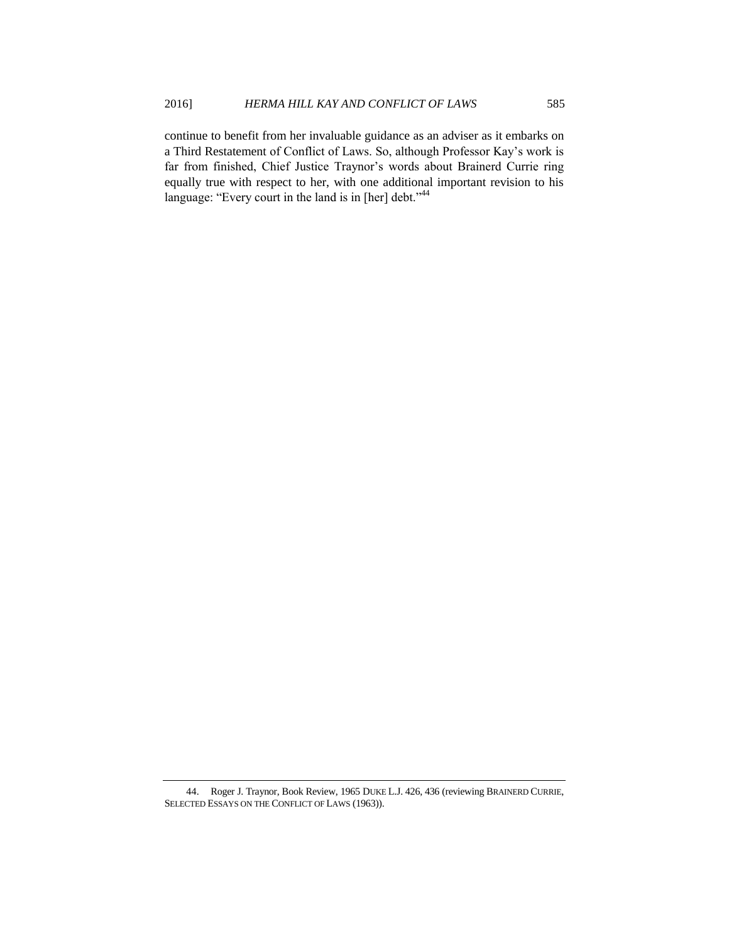continue to benefit from her invaluable guidance as an adviser as it embarks on a Third Restatement of Conflict of Laws. So, although Professor Kay's work is far from finished, Chief Justice Traynor's words about Brainerd Currie ring equally true with respect to her, with one additional important revision to his language: "Every court in the land is in [her] debt."<sup>44</sup>

<sup>44.</sup> Roger J. Traynor, Book Review, 1965 DUKE L.J. 426, 436 (reviewing BRAINERD CURRIE, SELECTED ESSAYS ON THE CONFLICT OF LAWS (1963)).